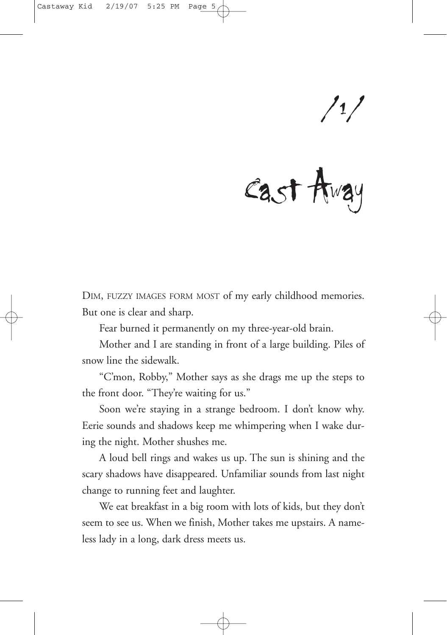Cast Away

 $\frac{1}{\sqrt{2}}$ 

DIM, FUZZY IMAGES FORM MOST of my early childhood memories. But one is clear and sharp.

Fear burned it permanently on my three-year-old brain.

Mother and I are standing in front of a large building. Piles of snow line the sidewalk.

"C'mon, Robby," Mother says as she drags me up the steps to the front door. "They're waiting for us."

Soon we're staying in a strange bedroom. I don't know why. Eerie sounds and shadows keep me whimpering when I wake during the night. Mother shushes me.

A loud bell rings and wakes us up. The sun is shining and the scary shadows have disappeared. Unfamiliar sounds from last night change to running feet and laughter.

We eat breakfast in a big room with lots of kids, but they don't seem to see us. When we finish, Mother takes me upstairs. A nameless lady in a long, dark dress meets us.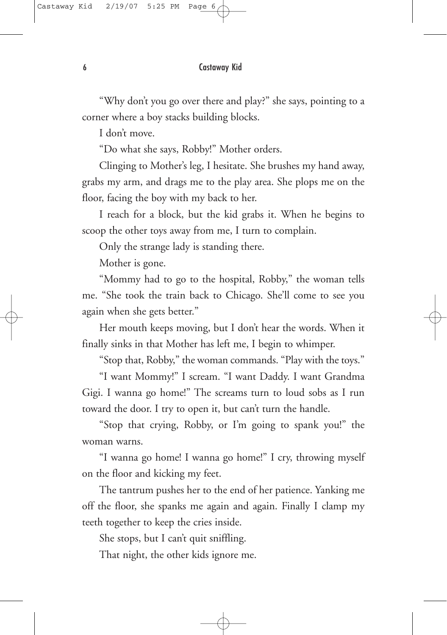## 6 Castaway Kid

"Why don't you go over there and play?" she says, pointing to a corner where a boy stacks building blocks.

I don't move.

"Do what she says, Robby!" Mother orders.

Clinging to Mother's leg, I hesitate. She brushes my hand away, grabs my arm, and drags me to the play area. She plops me on the floor, facing the boy with my back to her.

I reach for a block, but the kid grabs it. When he begins to scoop the other toys away from me, I turn to complain.

Only the strange lady is standing there.

Mother is gone.

"Mommy had to go to the hospital, Robby," the woman tells me. "She took the train back to Chicago. She'll come to see you again when she gets better."

Her mouth keeps moving, but I don't hear the words. When it finally sinks in that Mother has left me, I begin to whimper.

"Stop that, Robby," the woman commands. "Play with the toys."

"I want Mommy!" I scream. "I want Daddy. I want Grandma Gigi. I wanna go home!" The screams turn to loud sobs as I run toward the door. I try to open it, but can't turn the handle.

"Stop that crying, Robby, or I'm going to spank you!" the woman warns.

"I wanna go home! I wanna go home!" I cry, throwing myself on the floor and kicking my feet.

The tantrum pushes her to the end of her patience. Yanking me off the floor, she spanks me again and again. Finally I clamp my teeth together to keep the cries inside.

She stops, but I can't quit sniffling.

That night, the other kids ignore me.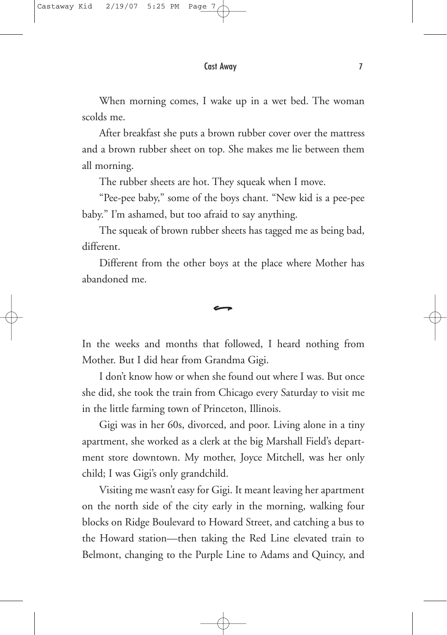When morning comes, I wake up in a wet bed. The woman scolds me.

After breakfast she puts a brown rubber cover over the mattress and a brown rubber sheet on top. She makes me lie between them all morning.

The rubber sheets are hot. They squeak when I move.

"Pee-pee baby," some of the boys chant. "New kid is a pee-pee baby." I'm ashamed, but too afraid to say anything.

The squeak of brown rubber sheets has tagged me as being bad, different.

Different from the other boys at the place where Mother has abandoned me.

 $\overline{\phantom{0}}$ 

In the weeks and months that followed, I heard nothing from Mother. But I did hear from Grandma Gigi.

I don't know how or when she found out where I was. But once she did, she took the train from Chicago every Saturday to visit me in the little farming town of Princeton, Illinois.

Gigi was in her 60s, divorced, and poor. Living alone in a tiny apartment, she worked as a clerk at the big Marshall Field's department store downtown. My mother, Joyce Mitchell, was her only child; I was Gigi's only grandchild.

Visiting me wasn't easy for Gigi. It meant leaving her apartment on the north side of the city early in the morning, walking four blocks on Ridge Boulevard to Howard Street, and catching a bus to the Howard station—then taking the Red Line elevated train to Belmont, changing to the Purple Line to Adams and Quincy, and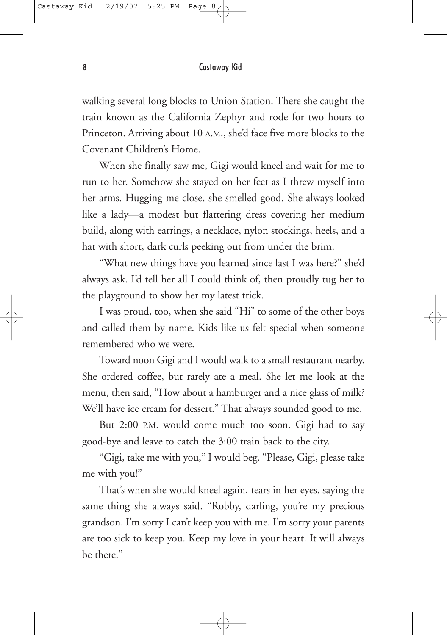## 8 Castaway Kid

walking several long blocks to Union Station. There she caught the train known as the California Zephyr and rode for two hours to Princeton. Arriving about 10 A.M., she'd face five more blocks to the Covenant Children's Home.

When she finally saw me, Gigi would kneel and wait for me to run to her. Somehow she stayed on her feet as I threw myself into her arms. Hugging me close, she smelled good. She always looked like a lady—a modest but flattering dress covering her medium build, along with earrings, a necklace, nylon stockings, heels, and a hat with short, dark curls peeking out from under the brim.

"What new things have you learned since last I was here?" she'd always ask. I'd tell her all I could think of, then proudly tug her to the playground to show her my latest trick.

I was proud, too, when she said "Hi" to some of the other boys and called them by name. Kids like us felt special when someone remembered who we were.

Toward noon Gigi and I would walk to a small restaurant nearby. She ordered coffee, but rarely ate a meal. She let me look at the menu, then said, "How about a hamburger and a nice glass of milk? We'll have ice cream for dessert." That always sounded good to me.

But 2:00 P.M. would come much too soon. Gigi had to say good-bye and leave to catch the 3:00 train back to the city.

"Gigi, take me with you," I would beg. "Please, Gigi, please take me with you!"

That's when she would kneel again, tears in her eyes, saying the same thing she always said. "Robby, darling, you're my precious grandson. I'm sorry I can't keep you with me. I'm sorry your parents are too sick to keep you. Keep my love in your heart. It will always be there."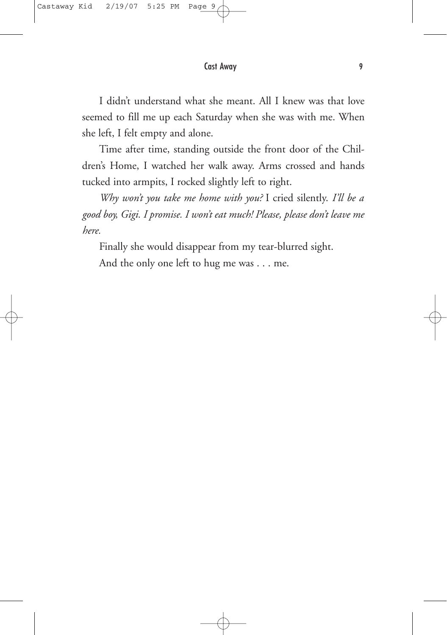I didn't understand what she meant. All I knew was that love seemed to fill me up each Saturday when she was with me. When she left, I felt empty and alone.

Time after time, standing outside the front door of the Children's Home, I watched her walk away. Arms crossed and hands tucked into armpits, I rocked slightly left to right.

*Why won't you take me home with you?* I cried silently. *I'll be a good boy, Gigi. I promise. I won't eat much! Please, please don't leave me here.*

Finally she would disappear from my tear-blurred sight. And the only one left to hug me was . . . me.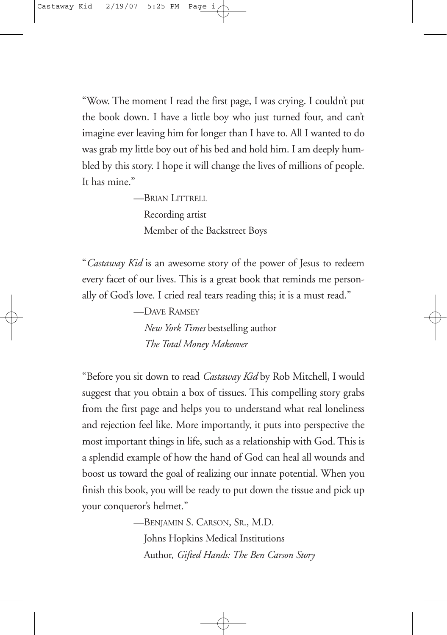"Wow. The moment I read the first page, I was crying. I couldn't put the book down. I have a little boy who just turned four, and can't imagine ever leaving him for longer than I have to. All I wanted to do was grab my little boy out of his bed and hold him. I am deeply humbled by this story. I hope it will change the lives of millions of people. It has mine."

> —BRIAN LITTRELL Recording artist Member of the Backstreet Boys

"*Castaway Kid* is an awesome story of the power of Jesus to redeem every facet of our lives. This is a great book that reminds me personally of God's love. I cried real tears reading this; it is a must read."

> —DAVE RAMSEY *New York Times* bestselling author *The Total Money Makeover*

"Before you sit down to read *Castaway Kid* by Rob Mitchell, I would suggest that you obtain a box of tissues. This compelling story grabs from the first page and helps you to understand what real loneliness and rejection feel like. More importantly, it puts into perspective the most important things in life, such as a relationship with God. This is a splendid example of how the hand of God can heal all wounds and boost us toward the goal of realizing our innate potential. When you finish this book, you will be ready to put down the tissue and pick up your conqueror's helmet."

> —BENJAMIN S. CARSON, SR., M.D. Johns Hopkins Medical Institutions Author, *Gifted Hands: The Ben Carson Story*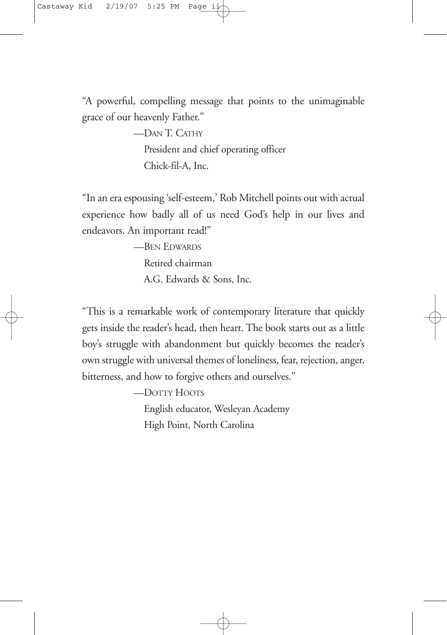"A powerful, compelling message that points to the unimaginable grace of our heavenly Father."

> —DAN T. CATHY President and chief operating officer Chick-fil-A, Inc.

"In an era espousing 'self-esteem,' Rob Mitchell points out with actual experience how badly all of us need God's help in our lives and endeavors. An important read!"

> —BEN EDWARDS Retired chairman A.G. Edwards & Sons, Inc.

"This is a remarkable work of contemporary literature that quickly gets inside the reader's head, then heart. The book starts out as a little boy's struggle with abandonment but quickly becomes the reader's own struggle with universal themes of loneliness, fear, rejection, anger, bitterness, and how to forgive others and ourselves."

> —DOTTY HOOTS English educator, Wesleyan Academy High Point, North Carolina